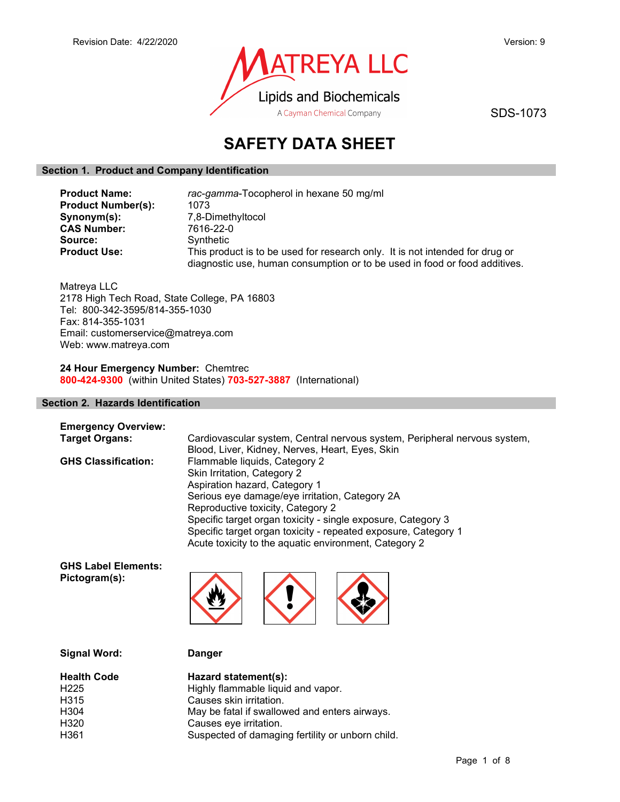

SDS-1073

# SAFETY DATA SHEET

#### Section 1. Product and Company Identification

| <b>Product Name:</b>      | rac-gamma-Tocopherol in hexane 50 mg/ml                                                                                                                    |  |  |
|---------------------------|------------------------------------------------------------------------------------------------------------------------------------------------------------|--|--|
| <b>Product Number(s):</b> | 1073                                                                                                                                                       |  |  |
| Synonym(s):               | 7,8-Dimethyltocol                                                                                                                                          |  |  |
| <b>CAS Number:</b>        | 7616-22-0                                                                                                                                                  |  |  |
| Source:                   | Synthetic                                                                                                                                                  |  |  |
| <b>Product Use:</b>       | This product is to be used for research only. It is not intended for drug or<br>diagnostic use, human consumption or to be used in food or food additives. |  |  |

Matreya LLC 2178 High Tech Road, State College, PA 16803 Tel: 800-342-3595/814-355-1030 Fax: 814-355-1031 Email: customerservice@matreya.com Web: www.matreya.com

24 Hour Emergency Number: Chemtrec 800-424-9300 (within United States) 703-527-3887 (International)

#### Section 2. Hazards Identification

| <b>Emergency Overview:</b> |                                                                           |
|----------------------------|---------------------------------------------------------------------------|
| <b>Target Organs:</b>      | Cardiovascular system, Central nervous system, Peripheral nervous system, |
|                            | Blood, Liver, Kidney, Nerves, Heart, Eyes, Skin                           |
| <b>GHS Classification:</b> | Flammable liquids, Category 2                                             |
|                            | Skin Irritation, Category 2                                               |
|                            | Aspiration hazard, Category 1                                             |
|                            | Serious eye damage/eye irritation, Category 2A                            |
|                            | Reproductive toxicity, Category 2                                         |
|                            | Specific target organ toxicity - single exposure, Category 3              |
|                            | Specific target organ toxicity - repeated exposure, Category 1            |
|                            | Acute toxicity to the aquatic environment, Category 2                     |
|                            |                                                                           |

GHS Label Elements: Pictogram(s):



Signal Word: Danger

| <b>Health Code</b> | Hazard statement(s):                             |
|--------------------|--------------------------------------------------|
| H <sub>225</sub>   | Highly flammable liquid and vapor.               |
| H315               | Causes skin irritation.                          |
| H304               | May be fatal if swallowed and enters airways.    |
| H320               | Causes eye irritation.                           |
| H361               | Suspected of damaging fertility or unborn child. |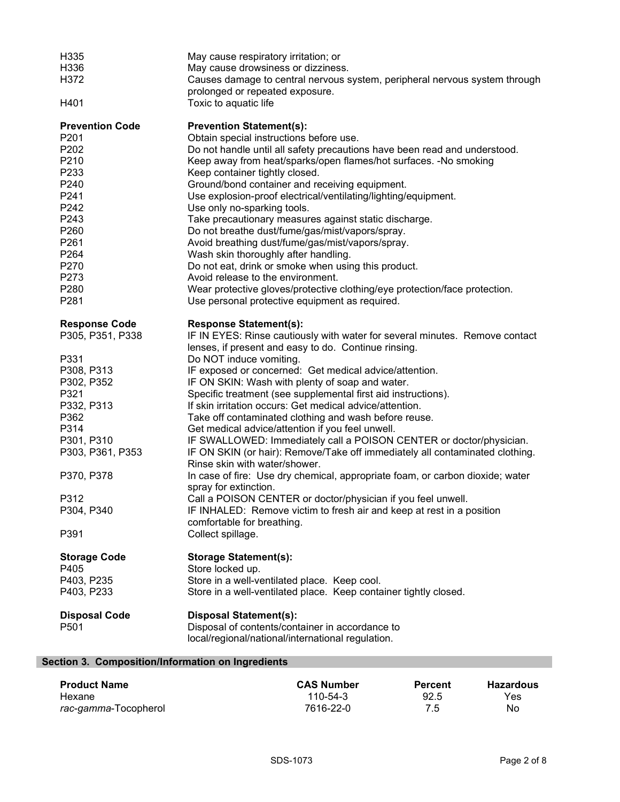| H335<br>H336                   | May cause respiratory irritation; or<br>May cause drowsiness or dizziness.                                                                          |
|--------------------------------|-----------------------------------------------------------------------------------------------------------------------------------------------------|
| H372                           | Causes damage to central nervous system, peripheral nervous system through<br>prolonged or repeated exposure.                                       |
| H401                           | Toxic to aquatic life                                                                                                                               |
| <b>Prevention Code</b>         | <b>Prevention Statement(s):</b>                                                                                                                     |
| P201                           | Obtain special instructions before use.                                                                                                             |
| P202                           | Do not handle until all safety precautions have been read and understood.                                                                           |
| P210                           | Keep away from heat/sparks/open flames/hot surfaces. -No smoking                                                                                    |
| P233<br>P240                   | Keep container tightly closed.                                                                                                                      |
| P241                           | Ground/bond container and receiving equipment.<br>Use explosion-proof electrical/ventilating/lighting/equipment.                                    |
| P242                           | Use only no-sparking tools.                                                                                                                         |
| P243                           | Take precautionary measures against static discharge.                                                                                               |
| P260                           | Do not breathe dust/fume/gas/mist/vapors/spray.                                                                                                     |
| P261                           | Avoid breathing dust/fume/gas/mist/vapors/spray.                                                                                                    |
| P264                           | Wash skin thoroughly after handling.                                                                                                                |
| P270                           | Do not eat, drink or smoke when using this product.                                                                                                 |
| P273                           | Avoid release to the environment.                                                                                                                   |
| P280                           | Wear protective gloves/protective clothing/eye protection/face protection.                                                                          |
| P281                           | Use personal protective equipment as required.                                                                                                      |
| <b>Response Code</b>           | <b>Response Statement(s):</b>                                                                                                                       |
| P305, P351, P338               | IF IN EYES: Rinse cautiously with water for several minutes. Remove contact<br>lenses, if present and easy to do. Continue rinsing.                 |
| P331                           | Do NOT induce vomiting.                                                                                                                             |
| P308, P313                     | IF exposed or concerned: Get medical advice/attention.                                                                                              |
| P302, P352                     | IF ON SKIN: Wash with plenty of soap and water.                                                                                                     |
| P321                           | Specific treatment (see supplemental first aid instructions).                                                                                       |
| P332, P313                     | If skin irritation occurs: Get medical advice/attention.                                                                                            |
| P362                           | Take off contaminated clothing and wash before reuse.                                                                                               |
| P314                           | Get medical advice/attention if you feel unwell.                                                                                                    |
| P301, P310<br>P303, P361, P353 | IF SWALLOWED: Immediately call a POISON CENTER or doctor/physician.<br>IF ON SKIN (or hair): Remove/Take off immediately all contaminated clothing. |
|                                | Rinse skin with water/shower.                                                                                                                       |
| P370, P378                     | In case of fire: Use dry chemical, appropriate foam, or carbon dioxide; water<br>spray for extinction.                                              |
| P312                           | Call a POISON CENTER or doctor/physician if you feel unwell.                                                                                        |
| P304, P340                     | IF INHALED: Remove victim to fresh air and keep at rest in a position                                                                               |
|                                | comfortable for breathing.                                                                                                                          |
| P391                           | Collect spillage.                                                                                                                                   |
| <b>Storage Code</b>            | <b>Storage Statement(s):</b>                                                                                                                        |
| P405                           | Store locked up.                                                                                                                                    |
| P403, P235                     | Store in a well-ventilated place. Keep cool.                                                                                                        |
| P403, P233                     | Store in a well-ventilated place. Keep container tightly closed.                                                                                    |
| <b>Disposal Code</b>           | <b>Disposal Statement(s):</b>                                                                                                                       |
| P501                           | Disposal of contents/container in accordance to                                                                                                     |
|                                | local/regional/national/international regulation.                                                                                                   |
|                                |                                                                                                                                                     |

# Section 3. Composition/Information on Ingredients

| <b>Product Name</b>          | <b>CAS Number</b> | <b>Percent</b> | <b>Hazardous</b> |
|------------------------------|-------------------|----------------|------------------|
| Hexane                       | 110-54-3          | 92.5           | Yes              |
| <i>rac-gamma-</i> Tocopherol | 7616-22-0         | 7.5            | No               |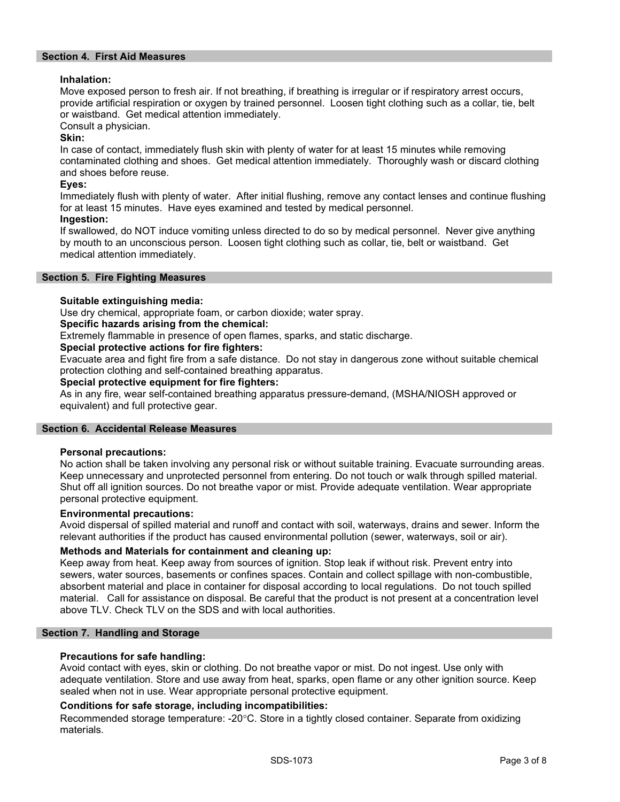#### Section 4. First Aid Measures

#### Inhalation:

Move exposed person to fresh air. If not breathing, if breathing is irregular or if respiratory arrest occurs, provide artificial respiration or oxygen by trained personnel. Loosen tight clothing such as a collar, tie, belt or waistband. Get medical attention immediately.

Consult a physician.

#### Skin:

In case of contact, immediately flush skin with plenty of water for at least 15 minutes while removing contaminated clothing and shoes. Get medical attention immediately. Thoroughly wash or discard clothing and shoes before reuse.

#### Eyes:

Immediately flush with plenty of water. After initial flushing, remove any contact lenses and continue flushing for at least 15 minutes. Have eyes examined and tested by medical personnel.

## Ingestion:

If swallowed, do NOT induce vomiting unless directed to do so by medical personnel. Never give anything by mouth to an unconscious person. Loosen tight clothing such as collar, tie, belt or waistband. Get medical attention immediately.

#### Section 5. Fire Fighting Measures

#### Suitable extinguishing media:

Use dry chemical, appropriate foam, or carbon dioxide; water spray.

#### Specific hazards arising from the chemical:

Extremely flammable in presence of open flames, sparks, and static discharge.

#### Special protective actions for fire fighters:

Evacuate area and fight fire from a safe distance. Do not stay in dangerous zone without suitable chemical protection clothing and self-contained breathing apparatus.

#### Special protective equipment for fire fighters:

As in any fire, wear self-contained breathing apparatus pressure-demand, (MSHA/NIOSH approved or equivalent) and full protective gear.

#### Section 6. Accidental Release Measures

#### Personal precautions:

No action shall be taken involving any personal risk or without suitable training. Evacuate surrounding areas. Keep unnecessary and unprotected personnel from entering. Do not touch or walk through spilled material. Shut off all ignition sources. Do not breathe vapor or mist. Provide adequate ventilation. Wear appropriate personal protective equipment.

#### Environmental precautions:

Avoid dispersal of spilled material and runoff and contact with soil, waterways, drains and sewer. Inform the relevant authorities if the product has caused environmental pollution (sewer, waterways, soil or air).

#### Methods and Materials for containment and cleaning up:

Keep away from heat. Keep away from sources of ignition. Stop leak if without risk. Prevent entry into sewers, water sources, basements or confines spaces. Contain and collect spillage with non-combustible, absorbent material and place in container for disposal according to local regulations. Do not touch spilled material. Call for assistance on disposal. Be careful that the product is not present at a concentration level above TLV. Check TLV on the SDS and with local authorities.

#### Section 7. Handling and Storage

#### Precautions for safe handling:

Avoid contact with eyes, skin or clothing. Do not breathe vapor or mist. Do not ingest. Use only with adequate ventilation. Store and use away from heat, sparks, open flame or any other ignition source. Keep sealed when not in use. Wear appropriate personal protective equipment.

#### Conditions for safe storage, including incompatibilities:

Recommended storage temperature: -20°C. Store in a tightly closed container. Separate from oxidizing materials.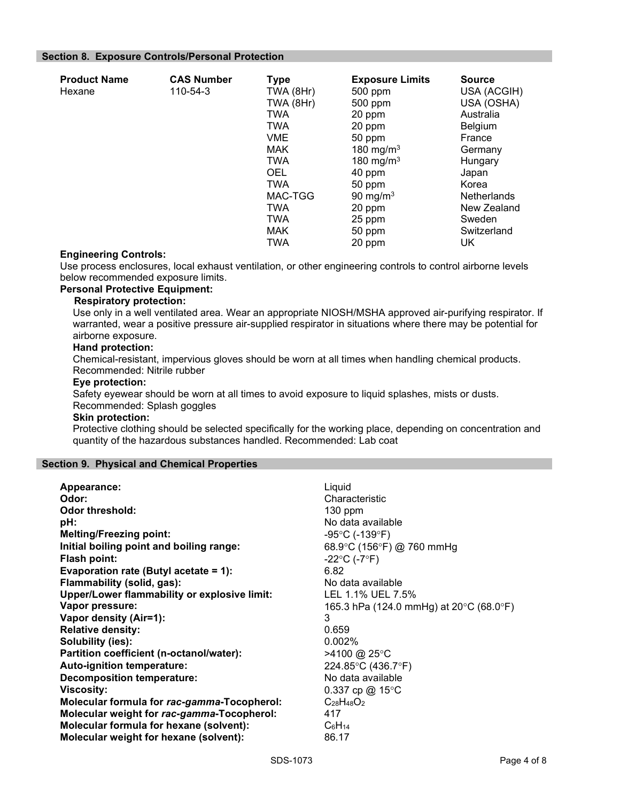#### Section 8. Exposure Controls/Personal Protection

| <b>Product Name</b><br>Hexane | <b>CAS Number</b><br>110-54-3 | <b>Type</b><br>TWA (8Hr)<br>TWA (8Hr)<br><b>TWA</b><br><b>TWA</b><br><b>VME</b><br><b>MAK</b><br><b>TWA</b><br><b>OEL</b><br><b>TWA</b><br>MAC-TGG<br><b>TWA</b><br><b>TWA</b> | <b>Exposure Limits</b><br>500 ppm<br>500 ppm<br>20 ppm<br>20 ppm<br>50 ppm<br>180 mg/m $3$<br>180 mg/m $3$<br>40 ppm<br>50 ppm<br>90 mg/m $3$<br>20 ppm<br>25 ppm | <b>Source</b><br>USA (ACGIH)<br>USA (OSHA)<br>Australia<br>Belgium<br>France<br>Germany<br>Hungary<br>Japan<br>Korea<br><b>Netherlands</b><br>New Zealand<br>Sweden<br>Switzerland |
|-------------------------------|-------------------------------|--------------------------------------------------------------------------------------------------------------------------------------------------------------------------------|-------------------------------------------------------------------------------------------------------------------------------------------------------------------|------------------------------------------------------------------------------------------------------------------------------------------------------------------------------------|
|                               |                               | <b>MAK</b><br><b>TWA</b>                                                                                                                                                       | 50 ppm<br>20 ppm                                                                                                                                                  | UK                                                                                                                                                                                 |

#### Engineering Controls:

Use process enclosures, local exhaust ventilation, or other engineering controls to control airborne levels below recommended exposure limits.

### Personal Protective Equipment:

#### Respiratory protection:

Use only in a well ventilated area. Wear an appropriate NIOSH/MSHA approved air-purifying respirator. If warranted, wear a positive pressure air-supplied respirator in situations where there may be potential for airborne exposure.

#### Hand protection:

Chemical-resistant, impervious gloves should be worn at all times when handling chemical products. Recommended: Nitrile rubber

#### Eye protection:

Safety eyewear should be worn at all times to avoid exposure to liquid splashes, mists or dusts. Recommended: Splash goggles

#### Skin protection:

Protective clothing should be selected specifically for the working place, depending on concentration and quantity of the hazardous substances handled. Recommended: Lab coat

#### Section 9. Physical and Chemical Properties

| Appearance:                                         | Liquid                                                       |
|-----------------------------------------------------|--------------------------------------------------------------|
| Odor:                                               | Characteristic                                               |
| <b>Odor threshold:</b>                              | $130$ ppm                                                    |
| pH:                                                 | No data available                                            |
| <b>Melting/Freezing point:</b>                      | $-95^{\circ}$ C (-139 $^{\circ}$ F)                          |
| Initial boiling point and boiling range:            | 68.9 °C (156 °F) @ 760 mmHg                                  |
| Flash point:                                        | $-22^{\circ}C (-7^{\circ}F)$                                 |
| Evaporation rate (Butyl acetate = 1):               | 6.82                                                         |
| Flammability (solid, gas):                          | No data available                                            |
| <b>Upper/Lower flammability or explosive limit:</b> | LEL 1.1% UEL 7.5%                                            |
| Vapor pressure:                                     | 165.3 hPa (124.0 mmHg) at $20^{\circ}$ C (68.0 $^{\circ}$ F) |
| Vapor density (Air=1):                              | 3                                                            |
| <b>Relative density:</b>                            | 0.659                                                        |
| Solubility (ies):                                   | 0.002%                                                       |
| Partition coefficient (n-octanol/water):            | >4100 @ 25°C                                                 |
| Auto-ignition temperature:                          | 224.85°C (436.7°F)                                           |
| <b>Decomposition temperature:</b>                   | No data available                                            |
| <b>Viscosity:</b>                                   | 0.337 cp @ 15 $\degree$ C                                    |
| Molecular formula for rac-gamma-Tocopherol:         | $C_{28}H_{48}O_2$                                            |
| Molecular weight for rac-gamma-Tocopherol:          | 417                                                          |
| Molecular formula for hexane (solvent):             | C <sub>6</sub> H <sub>14</sub>                               |
| Molecular weight for hexane (solvent):              | 86.17                                                        |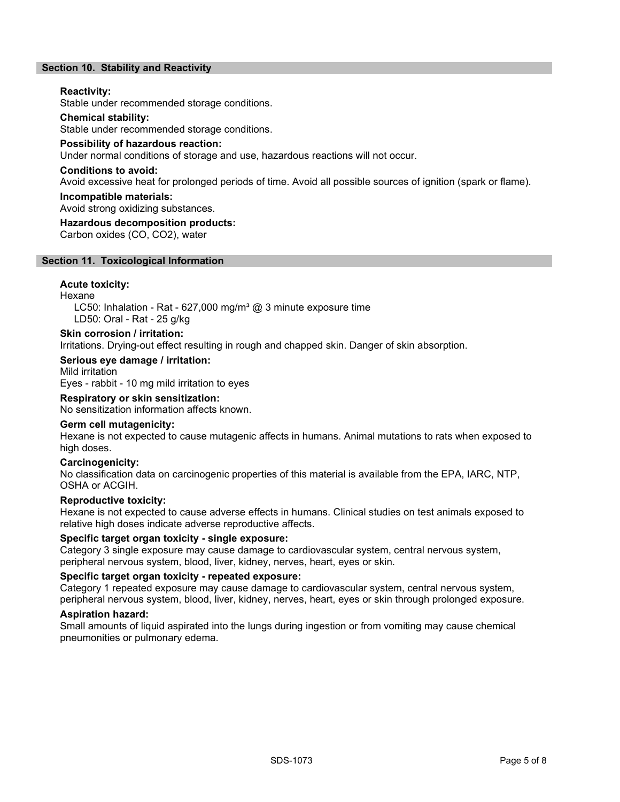#### Section 10. Stability and Reactivity

#### Reactivity:

Stable under recommended storage conditions.

#### Chemical stability:

Stable under recommended storage conditions.

#### Possibility of hazardous reaction:

Under normal conditions of storage and use, hazardous reactions will not occur.

#### Conditions to avoid:

Avoid excessive heat for prolonged periods of time. Avoid all possible sources of ignition (spark or flame).

#### Incompatible materials:

Avoid strong oxidizing substances.

#### Hazardous decomposition products:

Carbon oxides (CO, CO2), water

#### Section 11. Toxicological Information

#### Acute toxicity:

Hexane

LC50: Inhalation - Rat - 627,000 mg/m<sup>3</sup> @ 3 minute exposure time LD50: Oral - Rat - 25 g/kg

#### Skin corrosion / irritation:

Irritations. Drying-out effect resulting in rough and chapped skin. Danger of skin absorption.

#### Serious eye damage / irritation:

Mild irritation Eyes - rabbit - 10 mg mild irritation to eyes

#### Respiratory or skin sensitization:

No sensitization information affects known.

#### Germ cell mutagenicity:

Hexane is not expected to cause mutagenic affects in humans. Animal mutations to rats when exposed to high doses.

#### Carcinogenicity:

No classification data on carcinogenic properties of this material is available from the EPA, IARC, NTP, OSHA or ACGIH.

#### Reproductive toxicity:

Hexane is not expected to cause adverse effects in humans. Clinical studies on test animals exposed to relative high doses indicate adverse reproductive affects.

#### Specific target organ toxicity - single exposure:

Category 3 single exposure may cause damage to cardiovascular system, central nervous system, peripheral nervous system, blood, liver, kidney, nerves, heart, eyes or skin.

#### Specific target organ toxicity - repeated exposure:

Category 1 repeated exposure may cause damage to cardiovascular system, central nervous system, peripheral nervous system, blood, liver, kidney, nerves, heart, eyes or skin through prolonged exposure.

#### Aspiration hazard:

Small amounts of liquid aspirated into the lungs during ingestion or from vomiting may cause chemical pneumonities or pulmonary edema.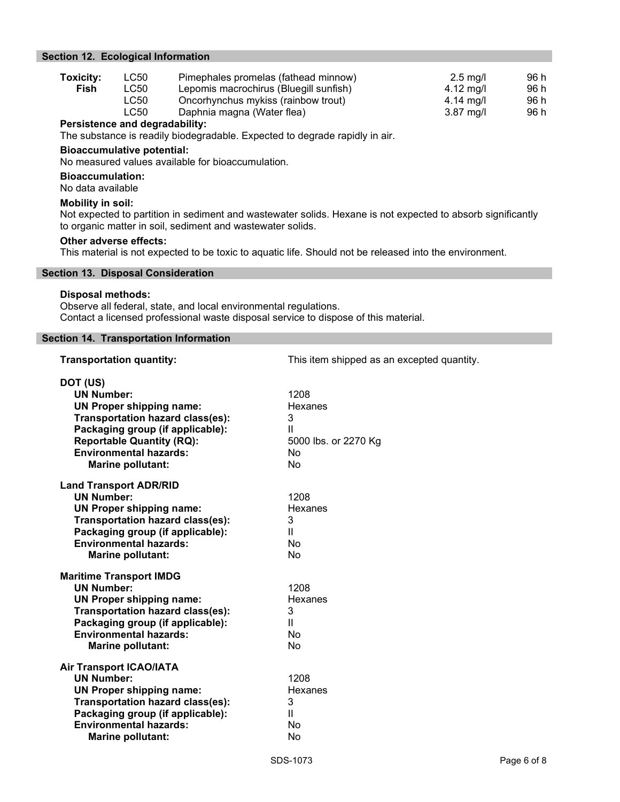#### Section 12. Ecological Information

| <b>Toxicity:</b> | LC50 | Pimephales promelas (fathead minnow)   | $2.5 \text{ ma/l}$ | 96 h |
|------------------|------|----------------------------------------|--------------------|------|
| Fish             | LC50 | Lepomis macrochirus (Bluegill sunfish) | 4.12 mg/l          | 96 h |
|                  | LC50 | Oncorhynchus mykiss (rainbow trout)    | 4.14 mg/l          | 96 h |
|                  | LC50 | Daphnia magna (Water flea)             | $3.87$ mg/l        | 96 h |
|                  |      |                                        |                    |      |

#### Persistence and degradability:

The substance is readily biodegradable. Expected to degrade rapidly in air.

#### Bioaccumulative potential:

No measured values available for bioaccumulation.

#### Bioaccumulation:

No data available

#### Mobility in soil:

Not expected to partition in sediment and wastewater solids. Hexane is not expected to absorb significantly to organic matter in soil, sediment and wastewater solids.

#### Other adverse effects:

This material is not expected to be toxic to aquatic life. Should not be released into the environment.

#### Section 13. Disposal Consideration

#### Disposal methods:

Observe all federal, state, and local environmental regulations. Contact a licensed professional waste disposal service to dispose of this material.

#### Section 14. Transportation Information

| <b>Transportation quantity:</b>                                                                                                                                                                                                                  | This item shipped as an excepted quantity.                    |
|--------------------------------------------------------------------------------------------------------------------------------------------------------------------------------------------------------------------------------------------------|---------------------------------------------------------------|
| DOT (US)<br><b>UN Number:</b><br><b>UN Proper shipping name:</b><br><b>Transportation hazard class(es):</b><br>Packaging group (if applicable):<br><b>Reportable Quantity (RQ):</b><br><b>Environmental hazards:</b><br><b>Marine pollutant:</b> | 1208<br>Hexanes<br>3<br>Ш<br>5000 lbs. or 2270 Kg<br>No<br>No |
| <b>Land Transport ADR/RID</b><br><b>UN Number:</b><br><b>UN Proper shipping name:</b><br>Transportation hazard class(es):<br>Packaging group (if applicable):<br><b>Environmental hazards:</b><br><b>Marine pollutant:</b>                       | 1208<br>Hexanes<br>3<br>$\mathbf{H}$<br>No<br>No              |
| <b>Maritime Transport IMDG</b><br><b>UN Number:</b><br><b>UN Proper shipping name:</b><br><b>Transportation hazard class(es):</b><br>Packaging group (if applicable):<br><b>Environmental hazards:</b><br>Marine pollutant:                      | 1208<br>Hexanes<br>3<br>Ш<br>No<br>No                         |
| <b>Air Transport ICAO/IATA</b><br><b>UN Number:</b><br><b>UN Proper shipping name:</b><br><b>Transportation hazard class(es):</b><br>Packaging group (if applicable):<br><b>Environmental hazards:</b><br><b>Marine pollutant:</b>               | 1208<br>Hexanes<br>3<br>$\mathbf{H}$<br>No<br>No              |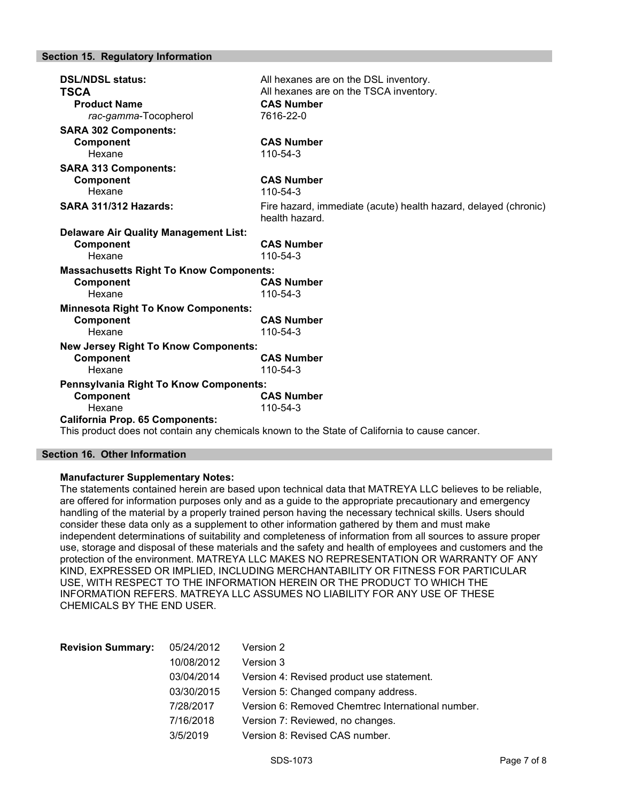#### Section 15. Regulatory Information

| <b>DSL/NDSL status:</b><br><b>TSCA</b><br><b>Product Name</b> | All hexanes are on the DSL inventory.<br>All hexanes are on the TSCA inventory.<br><b>CAS Number</b> |
|---------------------------------------------------------------|------------------------------------------------------------------------------------------------------|
| rac-gamma-Tocopherol                                          | 7616-22-0                                                                                            |
| <b>SARA 302 Components:</b>                                   |                                                                                                      |
| Component                                                     | <b>CAS Number</b>                                                                                    |
| Hexane                                                        | 110-54-3                                                                                             |
| <b>SARA 313 Components:</b>                                   |                                                                                                      |
| <b>Component</b>                                              | <b>CAS Number</b>                                                                                    |
| Hexane                                                        | 110-54-3                                                                                             |
| <b>SARA 311/312 Hazards:</b>                                  | Fire hazard, immediate (acute) health hazard, delayed (chronic)<br>health hazard.                    |
| <b>Delaware Air Quality Management List:</b>                  |                                                                                                      |
| Component                                                     | <b>CAS Number</b>                                                                                    |
| Hexane                                                        | 110-54-3                                                                                             |
| <b>Massachusetts Right To Know Components:</b>                |                                                                                                      |
| Component                                                     | <b>CAS Number</b>                                                                                    |
| Hexane                                                        | 110-54-3                                                                                             |
| <b>Minnesota Right To Know Components:</b>                    |                                                                                                      |
| Component                                                     | <b>CAS Number</b>                                                                                    |
| Hexane                                                        | 110-54-3                                                                                             |
| <b>New Jersey Right To Know Components:</b>                   |                                                                                                      |
| Component                                                     | <b>CAS Number</b>                                                                                    |
| Hexane                                                        | 110-54-3                                                                                             |
| Pennsylvania Right To Know Components:                        |                                                                                                      |
| Component                                                     | <b>CAS Number</b>                                                                                    |
| Hexane                                                        | 110-54-3                                                                                             |
| <b>California Prop. 65 Components:</b>                        |                                                                                                      |

This product does not contain any chemicals known to the State of California to cause cancer.

#### Section 16. Other Information

#### Manufacturer Supplementary Notes:

The statements contained herein are based upon technical data that MATREYA LLC believes to be reliable, are offered for information purposes only and as a guide to the appropriate precautionary and emergency handling of the material by a properly trained person having the necessary technical skills. Users should consider these data only as a supplement to other information gathered by them and must make independent determinations of suitability and completeness of information from all sources to assure proper use, storage and disposal of these materials and the safety and health of employees and customers and the protection of the environment. MATREYA LLC MAKES NO REPRESENTATION OR WARRANTY OF ANY KIND, EXPRESSED OR IMPLIED, INCLUDING MERCHANTABILITY OR FITNESS FOR PARTICULAR USE, WITH RESPECT TO THE INFORMATION HEREIN OR THE PRODUCT TO WHICH THE INFORMATION REFERS. MATREYA LLC ASSUMES NO LIABILITY FOR ANY USE OF THESE CHEMICALS BY THE END USER.

| <b>Revision Summary:</b> | 05/24/2012 | Version 2                                         |
|--------------------------|------------|---------------------------------------------------|
|                          | 10/08/2012 | Version 3                                         |
|                          | 03/04/2014 | Version 4: Revised product use statement.         |
|                          | 03/30/2015 | Version 5: Changed company address.               |
|                          | 7/28/2017  | Version 6: Removed Chemtrec International number. |
|                          | 7/16/2018  | Version 7: Reviewed, no changes.                  |
|                          | 3/5/2019   | Version 8: Revised CAS number.                    |